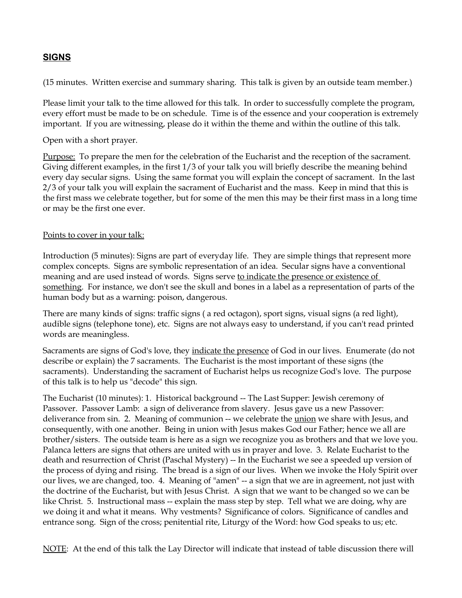## **SIGNS**

(15 minutes. Written exercise and summary sharing. This talk is given by an outside team member.)

Please limit your talk to the time allowed for this talk. In order to successfully complete the program, every effort must be made to be on schedule. Time is of the essence and your cooperation is extremely important. If you are witnessing, please do it within the theme and within the outline of this talk.

Open with a short prayer.

Purpose: To prepare the men for the celebration of the Eucharist and the reception of the sacrament. Giving different examples, in the first 1/3 of your talk you will briefly describe the meaning behind every day secular signs. Using the same format you will explain the concept of sacrament. In the last 2/3 of your talk you will explain the sacrament of Eucharist and the mass. Keep in mind that this is the first mass we celebrate together, but for some of the men this may be their first mass in a long time or may be the first one ever.

## Points to cover in your talk:

Introduction (5 minutes): Signs are part of everyday life. They are simple things that represent more complex concepts. Signs are symbolic representation of an idea. Secular signs have a conventional meaning and are used instead of words. Signs serve to indicate the presence or existence of something. For instance, we don't see the skull and bones in a label as a representation of parts of the human body but as a warning: poison, dangerous.

There are many kinds of signs: traffic signs ( a red octagon), sport signs, visual signs (a red light), audible signs (telephone tone), etc. Signs are not always easy to understand, if you can't read printed words are meaningless.

Sacraments are signs of God's love, they indicate the presence of God in our lives. Enumerate (do not describe or explain) the 7 sacraments. The Eucharist is the most important of these signs (the sacraments). Understanding the sacrament of Eucharist helps us recognize God's love. The purpose of this talk is to help us "decode" this sign.

The Eucharist (10 minutes): 1. Historical background -- The Last Supper: Jewish ceremony of Passover. Passover Lamb: a sign of deliverance from slavery. Jesus gave us a new Passover: deliverance from sin. 2. Meaning of communion -- we celebrate the *union* we share with Jesus, and consequently, with one another. Being in union with Jesus makes God our Father; hence we all are brother/sisters. The outside team is here as a sign we recognize you as brothers and that we love you. Palanca letters are signs that others are united with us in prayer and love. 3. Relate Eucharist to the death and resurrection of Christ (Paschal Mystery) -- In the Eucharist we see a speeded up version of the process of dying and rising. The bread is a sign of our lives. When we invoke the Holy Spirit over our lives, we are changed, too. 4. Meaning of "amen" -- a sign that we are in agreement, not just with the doctrine of the Eucharist, but with Jesus Christ. A sign that we want to be changed so we can be like Christ. 5. Instructional mass -- explain the mass step by step. Tell what we are doing, why are we doing it and what it means. Why vestments? Significance of colors. Significance of candles and entrance song. Sign of the cross; penitential rite, Liturgy of the Word: how God speaks to us; etc.

NOTE: At the end of this talk the Lay Director will indicate that instead of table discussion there will